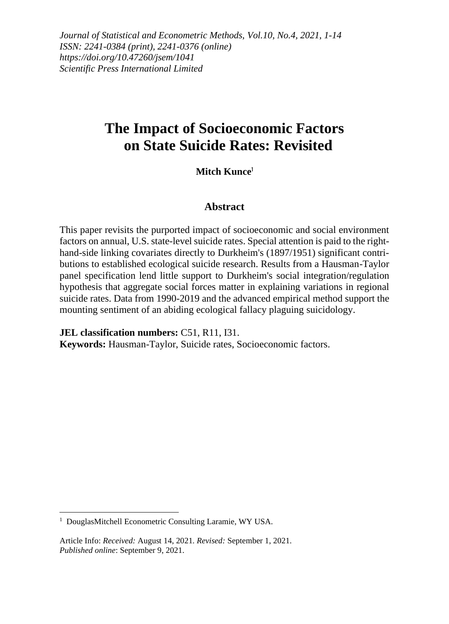*Journal of Statistical and Econometric Methods, Vol.10, No.4, 2021, 1-14 ISSN: 2241-0384 (print), 2241-0376 (online) https://doi.org/10.47260/jsem/1041 Scientific Press International Limited*

# **The Impact of Socioeconomic Factors on State Suicide Rates: Revisited**

#### **Mitch Kunce**<sup>1</sup>

#### **Abstract**

This paper revisits the purported impact of socioeconomic and social environment factors on annual, U.S. state-level suicide rates. Special attention is paid to the righthand-side linking covariates directly to Durkheim's (1897/1951) significant contributions to established ecological suicide research. Results from a Hausman-Taylor panel specification lend little support to Durkheim's social integration/regulation hypothesis that aggregate social forces matter in explaining variations in regional suicide rates. Data from 1990-2019 and the advanced empirical method support the mounting sentiment of an abiding ecological fallacy plaguing suicidology.

**JEL classification numbers:** C51, R11, I31. **Keywords:** Hausman-Taylor, Suicide rates, Socioeconomic factors.

<sup>&</sup>lt;sup>1</sup> DouglasMitchell Econometric Consulting Laramie, WY USA.

Article Info: *Received:* August 14, 2021*. Revised:* September 1, 2021. *Published online*: September 9, 2021.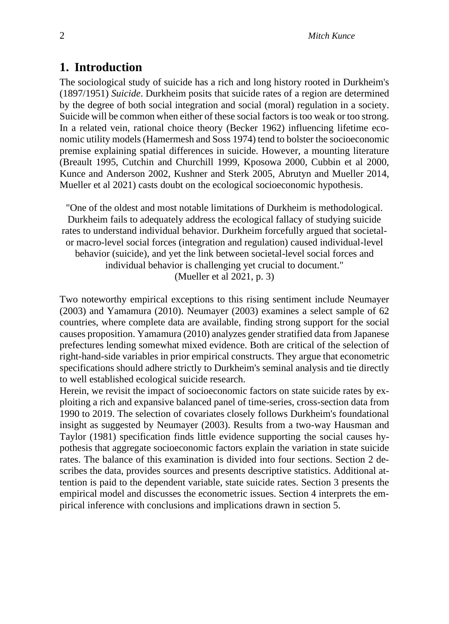### **1. Introduction**

The sociological study of suicide has a rich and long history rooted in Durkheim's (1897/1951) *Suicide*. Durkheim posits that suicide rates of a region are determined by the degree of both social integration and social (moral) regulation in a society. Suicide will be common when either of these social factors is too weak or too strong. In a related vein, rational choice theory (Becker 1962) influencing lifetime economic utility models (Hamermesh and Soss 1974) tend to bolster the socioeconomic premise explaining spatial differences in suicide. However, a mounting literature (Breault 1995, Cutchin and Churchill 1999, Kposowa 2000, Cubbin et al 2000, Kunce and Anderson 2002, Kushner and Sterk 2005, Abrutyn and Mueller 2014, Mueller et al 2021) casts doubt on the ecological socioeconomic hypothesis.

"One of the oldest and most notable limitations of Durkheim is methodological. Durkheim fails to adequately address the ecological fallacy of studying suicide rates to understand individual behavior. Durkheim forcefully argued that societalor macro-level social forces (integration and regulation) caused individual-level behavior (suicide), and yet the link between societal-level social forces and individual behavior is challenging yet crucial to document." (Mueller et al 2021, p. 3)

Two noteworthy empirical exceptions to this rising sentiment include Neumayer (2003) and Yamamura (2010). Neumayer (2003) examines a select sample of 62 countries, where complete data are available, finding strong support for the social causes proposition. Yamamura (2010) analyzes gender stratified data from Japanese prefectures lending somewhat mixed evidence. Both are critical of the selection of right-hand-side variables in prior empirical constructs. They argue that econometric specifications should adhere strictly to Durkheim's seminal analysis and tie directly to well established ecological suicide research.

Herein, we revisit the impact of socioeconomic factors on state suicide rates by exploiting a rich and expansive balanced panel of time-series, cross-section data from 1990 to 2019. The selection of covariates closely follows Durkheim's foundational insight as suggested by Neumayer (2003). Results from a two-way Hausman and Taylor (1981) specification finds little evidence supporting the social causes hypothesis that aggregate socioeconomic factors explain the variation in state suicide rates. The balance of this examination is divided into four sections. Section 2 describes the data, provides sources and presents descriptive statistics. Additional attention is paid to the dependent variable, state suicide rates. Section 3 presents the empirical model and discusses the econometric issues. Section 4 interprets the empirical inference with conclusions and implications drawn in section 5.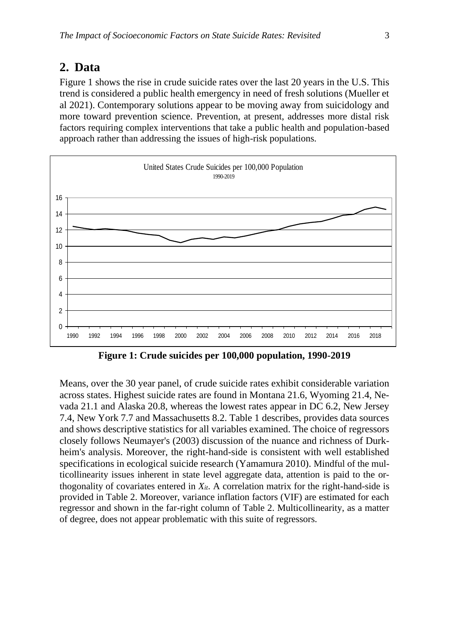### **2. Data**

Figure 1 shows the rise in crude suicide rates over the last 20 years in the U.S. This trend is considered a public health emergency in need of fresh solutions (Mueller et al 2021). Contemporary solutions appear to be moving away from suicidology and more toward prevention science. Prevention, at present, addresses more distal risk factors requiring complex interventions that take a public health and population-based approach rather than addressing the issues of high-risk populations.



**Figure 1: Crude suicides per 100,000 population, 1990-2019**

Means, over the 30 year panel, of crude suicide rates exhibit considerable variation across states. Highest suicide rates are found in Montana 21.6, Wyoming 21.4, Nevada 21.1 and Alaska 20.8, whereas the lowest rates appear in DC 6.2, New Jersey 7.4, New York 7.7 and Massachusetts 8.2. Table 1 describes, provides data sources and shows descriptive statistics for all variables examined. The choice of regressors closely follows Neumayer's (2003) discussion of the nuance and richness of Durkheim's analysis. Moreover, the right-hand-side is consistent with well established specifications in ecological suicide research (Yamamura 2010). Mindful of the multicollinearity issues inherent in state level aggregate data, attention is paid to the orthogonality of covariates entered in *Xit*. A correlation matrix for the right-hand-side is provided in Table 2. Moreover, variance inflation factors (VIF) are estimated for each regressor and shown in the far-right column of Table 2. Multicollinearity, as a matter of degree, does not appear problematic with this suite of regressors.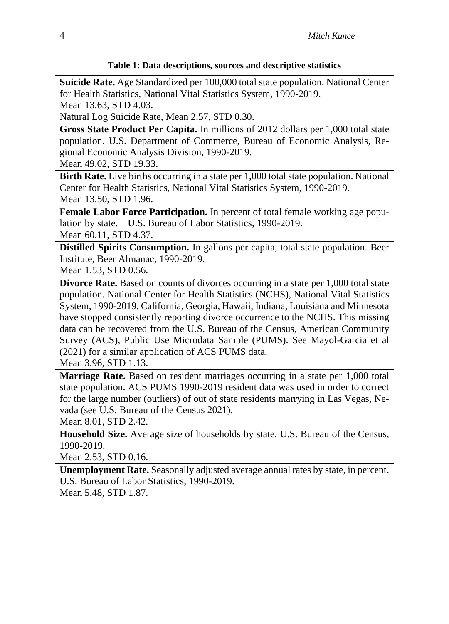#### **Table 1: Data descriptions, sources and descriptive statistics**

**Suicide Rate.** Age Standardized per 100,000 total state population. National Center for Health Statistics, National Vital Statistics System, 1990-2019. Mean 13.63, STD 4.03.

Natural Log Suicide Rate, Mean 2.57, STD 0.30.

**Gross State Product Per Capita.** In millions of 2012 dollars per 1,000 total state population. U.S. Department of Commerce, Bureau of Economic Analysis, Regional Economic Analysis Division, 1990-2019.

Mean 49.02, STD 19.33.

**Birth Rate.** Live births occurring in a state per 1,000 total state population. National Center for Health Statistics, National Vital Statistics System, 1990-2019. Mean 13.50, STD 1.96.

**Female Labor Force Participation.** In percent of total female working age population by state. U.S. Bureau of Labor Statistics, 1990-2019. Mean 60.11, STD 4.37.

**Distilled Spirits Consumption.** In gallons per capita, total state population. Beer Institute, Beer Almanac, 1990-2019.

Mean 1.53, STD 0.56.

**Divorce Rate.** Based on counts of divorces occurring in a state per 1,000 total state population. National Center for Health Statistics (NCHS), National Vital Statistics System, 1990-2019. California, Georgia, Hawaii, Indiana, Louisiana and Minnesota have stopped consistently reporting divorce occurrence to the NCHS. This missing data can be recovered from the U.S. Bureau of the Census, American Community Survey (ACS), Public Use Microdata Sample (PUMS). See Mayol-Garcia et al (2021) for a similar application of ACS PUMS data.

Mean 3.96, STD 1.13.

**Marriage Rate.** Based on resident marriages occurring in a state per 1,000 total state population. ACS PUMS 1990-2019 resident data was used in order to correct for the large number (outliers) of out of state residents marrying in Las Vegas, Nevada (see U.S. Bureau of the Census 2021).

Mean 8.01, STD 2.42.

**Household Size.** Average size of households by state. U.S. Bureau of the Census, 1990-2019.

Mean 2.53, STD 0.16.

**Unemployment Rate.** Seasonally adjusted average annual rates by state, in percent. U.S. Bureau of Labor Statistics, 1990-2019.

Mean 5.48, STD 1.87.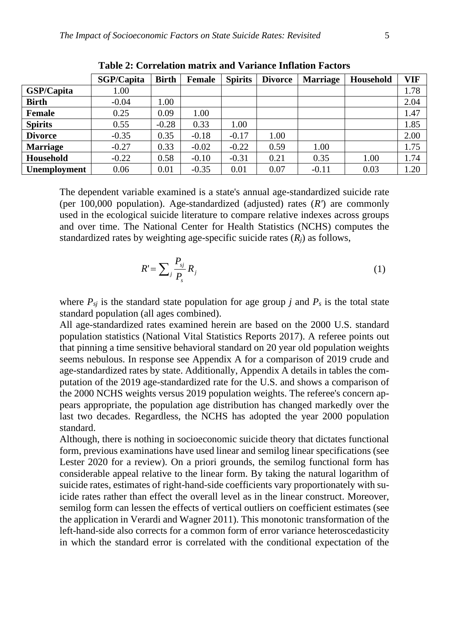|                 | <b>SGP/Capita</b> | <b>Birth</b> | <b>Female</b> | <b>Spirits</b> | <b>Divorce</b> | <b>Marriage</b> | Household | <b>VIF</b> |
|-----------------|-------------------|--------------|---------------|----------------|----------------|-----------------|-----------|------------|
| GSP/Capita      | 1.00              |              |               |                |                |                 |           | 1.78       |
| <b>Birth</b>    | $-0.04$           | 1.00         |               |                |                |                 |           | 2.04       |
| Female          | 0.25              | 0.09         | 1.00          |                |                |                 |           | 1.47       |
| <b>Spirits</b>  | 0.55              | $-0.28$      | 0.33          | 1.00           |                |                 |           | 1.85       |
| <b>Divorce</b>  | $-0.35$           | 0.35         | $-0.18$       | $-0.17$        | 1.00           |                 |           | 2.00       |
| <b>Marriage</b> | $-0.27$           | 0.33         | $-0.02$       | $-0.22$        | 0.59           | 1.00            |           | 1.75       |
| Household       | $-0.22$           | 0.58         | $-0.10$       | $-0.31$        | 0.21           | 0.35            | 1.00      | 1.74       |
| Unemployment    | 0.06              | 0.01         | $-0.35$       | 0.01           | 0.07           | $-0.11$         | 0.03      | 1.20       |

**Table 2: Correlation matrix and Variance Inflation Factors**

The dependent variable examined is a state's annual age-standardized suicide rate (per 100,000 population). Age-standardized (adjusted) rates (*R'*) are commonly used in the ecological suicide literature to compare relative indexes across groups and over time. The National Center for Health Statistics (NCHS) computes the standardized rates by weighting age-specific suicide rates (*Rj*) as follows,

$$
R' = \sum_{j} \frac{P_{sj}}{P_s} R_j \tag{1}
$$

where  $P_{si}$  is the standard state population for age group *j* and  $P_s$  is the total state standard population (all ages combined).

All age-standardized rates examined herein are based on the 2000 U.S. standard population statistics (National Vital Statistics Reports 2017). A referee points out that pinning a time sensitive behavioral standard on 20 year old population weights seems nebulous. In response see Appendix A for a comparison of 2019 crude and age-standardized rates by state. Additionally, Appendix A details in tables the computation of the 2019 age-standardized rate for the U.S. and shows a comparison of the 2000 NCHS weights versus 2019 population weights. The referee's concern appears appropriate, the population age distribution has changed markedly over the last two decades. Regardless, the NCHS has adopted the year 2000 population standard.

Although, there is nothing in socioeconomic suicide theory that dictates functional form, previous examinations have used linear and semilog linear specifications (see Lester 2020 for a review). On a priori grounds, the semilog functional form has considerable appeal relative to the linear form. By taking the natural logarithm of suicide rates, estimates of right-hand-side coefficients vary proportionately with suicide rates rather than effect the overall level as in the linear construct. Moreover, semilog form can lessen the effects of vertical outliers on coefficient estimates (see the application in Verardi and Wagner 2011). This monotonic transformation of the left-hand-side also corrects for a common form of error variance heteroscedasticity in which the standard error is correlated with the conditional expectation of the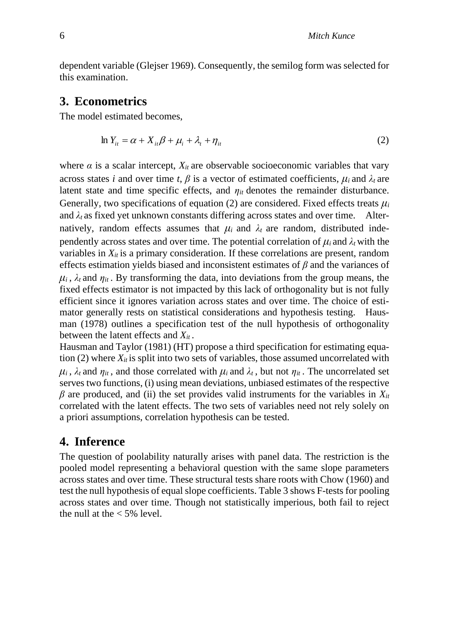dependent variable (Glejser 1969). Consequently, the semilog form was selected for this examination.

## **3. Econometrics**

The model estimated becomes,

$$
\ln Y_{it} = \alpha + X_{it}\beta + \mu_i + \lambda_t + \eta_{it} \tag{2}
$$

where  $\alpha$  is a scalar intercept,  $X_{it}$  are observable socioeconomic variables that vary across states *i* and over time *t*,  $\beta$  is a vector of estimated coefficients,  $\mu_i$  and  $\lambda_t$  are latent state and time specific effects, and  $\eta_{it}$  denotes the remainder disturbance. Generally, two specifications of equation (2) are considered. Fixed effects treats  $\mu_i$ and  $\lambda_t$  as fixed yet unknown constants differing across states and over time. Alternatively, random effects assumes that  $\mu_i$  and  $\lambda_t$  are random, distributed independently across states and over time. The potential correlation of  $\mu_i$  and  $\lambda_t$  with the variables in  $X_{it}$  is a primary consideration. If these correlations are present, random effects estimation yields biased and inconsistent estimates of *β* and the variances of  $\mu_i$ ,  $\lambda_t$  and  $\eta_{it}$ . By transforming the data, into deviations from the group means, the fixed effects estimator is not impacted by this lack of orthogonality but is not fully efficient since it ignores variation across states and over time. The choice of estimator generally rests on statistical considerations and hypothesis testing. Hausman (1978) outlines a specification test of the null hypothesis of orthogonality between the latent effects and *Xit* .

Hausman and Taylor (1981) (HT) propose a third specification for estimating equation  $(2)$  where  $X_{it}$  is split into two sets of variables, those assumed uncorrelated with  $\mu_i$ ,  $\lambda_t$  and  $\eta_{it}$ , and those correlated with  $\mu_i$  and  $\lambda_t$ , but not  $\eta_{it}$ . The uncorrelated set serves two functions, (i) using mean deviations, unbiased estimates of the respective  $\beta$  are produced, and (ii) the set provides valid instruments for the variables in  $X_{it}$ correlated with the latent effects. The two sets of variables need not rely solely on a priori assumptions, correlation hypothesis can be tested.

# **4. Inference**

The question of poolability naturally arises with panel data. The restriction is the pooled model representing a behavioral question with the same slope parameters across states and over time. These structural tests share roots with Chow (1960) and test the null hypothesis of equal slope coefficients. Table 3 shows F-tests for pooling across states and over time. Though not statistically imperious, both fail to reject the null at the  $<$  5% level.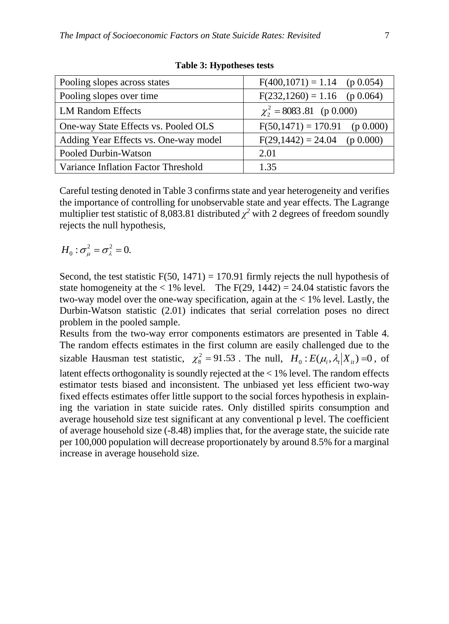| Pooling slopes across states          | $F(400, 1071) = 1.14$ (p 0.054) |
|---------------------------------------|---------------------------------|
| Pooling slopes over time              | $F(232,1260) = 1.16$ (p 0.064)  |
| <b>LM Random Effects</b>              | $\chi^2$ = 8083.81 (p 0.000)    |
| One-way State Effects vs. Pooled OLS  | $F(50,1471) = 170.91$ (p 0.000) |
| Adding Year Effects vs. One-way model | $F(29,1442) = 24.04$ (p 0.000)  |
| Pooled Durbin-Watson                  | 2.01                            |
| Variance Inflation Factor Threshold   | 1.35                            |

**Table 3: Hypotheses tests**

Careful testing denoted in Table 3 confirms state and year heterogeneity and verifies the importance of controlling for unobservable state and year effects. The Lagrange multiplier test statistic of 8,083.81 distributed  $\chi^2$  with 2 degrees of freedom soundly rejects the null hypothesis,

$$
H_0: \sigma^2_\mu = \sigma^2_\lambda = 0.
$$

Second, the test statistic  $F(50, 1471) = 170.91$  firmly rejects the null hypothesis of state homogeneity at the  $\langle 1\% \text{ level.} \text{ The F(29, 1442)} = 24.04$  statistic favors the two-way model over the one-way specification, again at the < 1% level. Lastly, the Durbin-Watson statistic (2.01) indicates that serial correlation poses no direct problem in the pooled sample.

Results from the two-way error components estimators are presented in Table 4. The random effects estimates in the first column are easily challenged due to the sizable Hausman test statistic,  $\chi^2 = 91.53$ . The null,  $H_0: E(\mu_i, \lambda_i | X_i) = 0$ , of latent effects orthogonality is soundly rejected at the < 1% level. The random effects estimator tests biased and inconsistent. The unbiased yet less efficient two-way fixed effects estimates offer little support to the social forces hypothesis in explaining the variation in state suicide rates. Only distilled spirits consumption and average household size test significant at any conventional p level. The coefficient of average household size (-8.48) implies that, for the average state, the suicide rate per 100,000 population will decrease proportionately by around 8.5% for a marginal increase in average household size.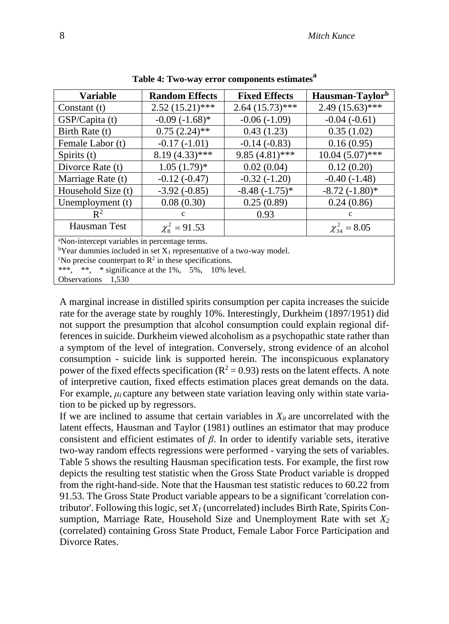| <b>Variable</b>    | <b>Random Effects</b>    | <b>Fixed Effects</b> | Hausman-Taylor <sup>b</sup> |
|--------------------|--------------------------|----------------------|-----------------------------|
| Constant (t)       | $2.52(15.21)$ ***        | $2.64(15.73)$ ***    | $2.49(15.63)$ ***           |
| GSP/Capita (t)     | $-0.09(-1.68)$ *         | $-0.06(-1.09)$       | $-0.04(-0.61)$              |
| Birth Rate (t)     | $0.75(2.24)$ **          | 0.43(1.23)           | 0.35(1.02)                  |
| Female Labor (t)   | $-0.17(-1.01)$           | $-0.14(-0.83)$       | 0.16(0.95)                  |
| Spirits (t)        | $8.19(4.33)$ ***         | $9.85(4.81)$ ***     | $10.04(5.07)$ ***           |
| Divorce Rate (t)   | $1.05(1.79)$ *           | 0.02(0.04)           | 0.12(0.20)                  |
| Marriage Rate (t)  | $-0.12(-0.47)$           | $-0.32(-1.20)$       | $-0.40(-1.48)$              |
| Household Size (t) | $-3.92(-0.85)$           | $-8.48(-1.75)*$      | $-8.72(-1.80)$ *            |
| Unemployment (t)   | 0.08(0.30)               | 0.25(0.89)           | 0.24(0.86)                  |
| $\mathbb{R}^2$     | $\mathbf{c}$             | 0.93                 | $\mathbf{c}$                |
| Hausman Test       | $\chi^2_{\rm s} = 91.53$ |                      | $\chi^2_{34} = 8.05$        |

**Table 4: Two-way error components estimates<sup>a</sup>**

<sup>a</sup>Non-intercept variables in percentage terms.

<sup>b</sup>Year dummies included in set  $X_1$  representative of a two-way model.

<sup>c</sup>No precise counterpart to  $\mathbb{R}^2$  in these specifications.

\*\*\*, \*\*, \* significance at the 1%, 5%, 10% level.

Observations 1,530

A marginal increase in distilled spirits consumption per capita increases the suicide rate for the average state by roughly 10%. Interestingly, Durkheim (1897/1951) did not support the presumption that alcohol consumption could explain regional differences in suicide. Durkheim viewed alcoholism as a psychopathic state rather than a symptom of the level of integration. Conversely, strong evidence of an alcohol consumption - suicide link is supported herein. The inconspicuous explanatory power of the fixed effects specification ( $R^2 = 0.93$ ) rests on the latent effects. A note of interpretive caution, fixed effects estimation places great demands on the data. For example, *μ<sup>i</sup>* capture any between state variation leaving only within state variation to be picked up by regressors.

If we are inclined to assume that certain variables in  $X_{it}$  are uncorrelated with the latent effects, Hausman and Taylor (1981) outlines an estimator that may produce consistent and efficient estimates of  $\beta$ . In order to identify variable sets, iterative two-way random effects regressions were performed - varying the sets of variables. Table 5 shows the resulting Hausman specification tests. For example, the first row depicts the resulting test statistic when the Gross State Product variable is dropped from the right-hand-side. Note that the Hausman test statistic reduces to 60.22 from 91.53. The Gross State Product variable appears to be a significant 'correlation contributor'. Following this logic, set *X<sup>1</sup>* (uncorrelated) includes Birth Rate, Spirits Consumption, Marriage Rate, Household Size and Unemployment Rate with set *X<sup>2</sup>* (correlated) containing Gross State Product, Female Labor Force Participation and Divorce Rates.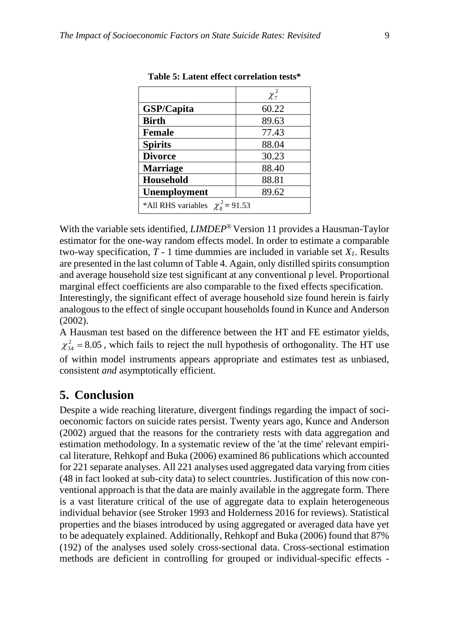|                                     | $\chi^2_7$ |
|-------------------------------------|------------|
| GSP/Capita                          | 60.22      |
| <b>Birth</b>                        | 89.63      |
| <b>Female</b>                       | 77.43      |
| <b>Spirits</b>                      | 88.04      |
| <b>Divorce</b>                      | 30.23      |
| <b>Marriage</b>                     | 88.40      |
| Household                           | 88.81      |
| Unemployment                        | 89.62      |
| *All RHS variables $\chi^2$ = 91.53 |            |

| Table 5: Latent effect correlation tests* |  |  |  |
|-------------------------------------------|--|--|--|
|-------------------------------------------|--|--|--|

With the variable sets identified, *LIMDEP*® Version 11 provides a Hausman-Taylor estimator for the one-way random effects model. In order to estimate a comparable two-way specification,  $T - 1$  time dummies are included in variable set  $X_I$ . Results are presented in the last column of Table 4. Again, only distilled spirits consumption and average household size test significant at any conventional p level. Proportional marginal effect coefficients are also comparable to the fixed effects specification. Interestingly, the significant effect of average household size found herein is fairly analogous to the effect of single occupant households found in Kunce and Anderson (2002).

A Hausman test based on the difference between the HT and FE estimator yields,  $\chi_{34}^2$  = 8.05, which fails to reject the null hypothesis of orthogonality. The HT use of within model instruments appears appropriate and estimates test as unbiased, consistent *and* asymptotically efficient.

# **5. Conclusion**

Despite a wide reaching literature, divergent findings regarding the impact of socioeconomic factors on suicide rates persist. Twenty years ago, Kunce and Anderson (2002) argued that the reasons for the contrariety rests with data aggregation and estimation methodology. In a systematic review of the 'at the time' relevant empirical literature, Rehkopf and Buka (2006) examined 86 publications which accounted for 221 separate analyses. All 221 analyses used aggregated data varying from cities (48 in fact looked at sub-city data) to select countries. Justification of this now conventional approach is that the data are mainly available in the aggregate form. There is a vast literature critical of the use of aggregate data to explain heterogeneous individual behavior (see Stroker 1993 and Holderness 2016 for reviews). Statistical properties and the biases introduced by using aggregated or averaged data have yet to be adequately explained. Additionally, Rehkopf and Buka (2006) found that 87% (192) of the analyses used solely cross-sectional data. Cross-sectional estimation methods are deficient in controlling for grouped or individual-specific effects -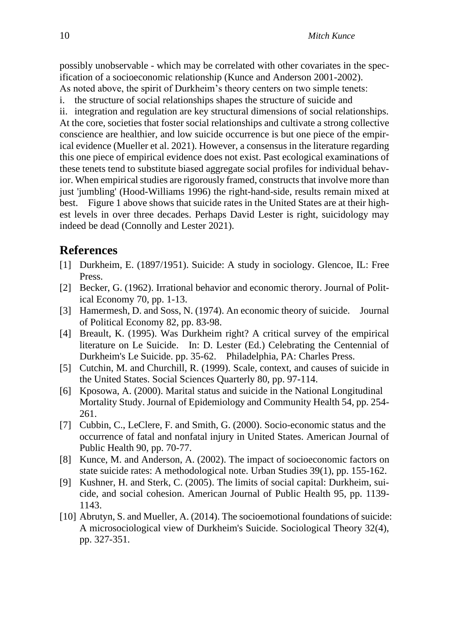possibly unobservable - which may be correlated with other covariates in the specification of a socioeconomic relationship (Kunce and Anderson 2001-2002). As noted above, the spirit of Durkheim's theory centers on two simple tenets:

i. the structure of social relationships shapes the structure of suicide and

ii. integration and regulation are key structural dimensions of social relationships. At the core, societies that foster social relationships and cultivate a strong collective conscience are healthier, and low suicide occurrence is but one piece of the empirical evidence (Mueller et al. 2021). However, a consensus in the literature regarding this one piece of empirical evidence does not exist. Past ecological examinations of these tenets tend to substitute biased aggregate social profiles for individual behavior. When empirical studies are rigorously framed, constructs that involve more than just 'jumbling' (Hood-Williams 1996) the right-hand-side, results remain mixed at best. Figure 1 above shows that suicide rates in the United States are at their highest levels in over three decades. Perhaps David Lester is right, suicidology may indeed be dead (Connolly and Lester 2021).

### **References**

- [1] Durkheim, E. (1897/1951). Suicide: A study in sociology. Glencoe, IL: Free Press.
- [2] Becker, G. (1962). Irrational behavior and economic therory. Journal of Political Economy 70, pp. 1-13.
- [3] Hamermesh, D. and Soss, N. (1974). An economic theory of suicide. Journal of Political Economy 82, pp. 83-98.
- [4] Breault, K. (1995). Was Durkheim right? A critical survey of the empirical literature on Le Suicide. In: D. Lester (Ed.) Celebrating the Centennial of Durkheim's Le Suicide. pp. 35-62. Philadelphia, PA: Charles Press.
- [5] Cutchin, M. and Churchill, R. (1999). Scale, context, and causes of suicide in the United States. Social Sciences Quarterly 80, pp. 97-114.
- [6] Kposowa, A. (2000). Marital status and suicide in the National Longitudinal Mortality Study. Journal of Epidemiology and Community Health 54, pp. 254- 261.
- [7] Cubbin, C., LeClere, F. and Smith, G. (2000). Socio-economic status and the occurrence of fatal and nonfatal injury in United States. American Journal of Public Health 90, pp. 70-77.
- [8] Kunce, M. and Anderson, A. (2002). The impact of socioeconomic factors on state suicide rates: A methodological note. Urban Studies 39(1), pp. 155-162.
- [9] Kushner, H. and Sterk, C. (2005). The limits of social capital: Durkheim, suicide, and social cohesion. American Journal of Public Health 95, pp. 1139- 1143.
- [10] Abrutyn, S. and Mueller, A. (2014). The socioemotional foundations of suicide: A microsociological view of Durkheim's Suicide. Sociological Theory 32(4), pp. 327-351.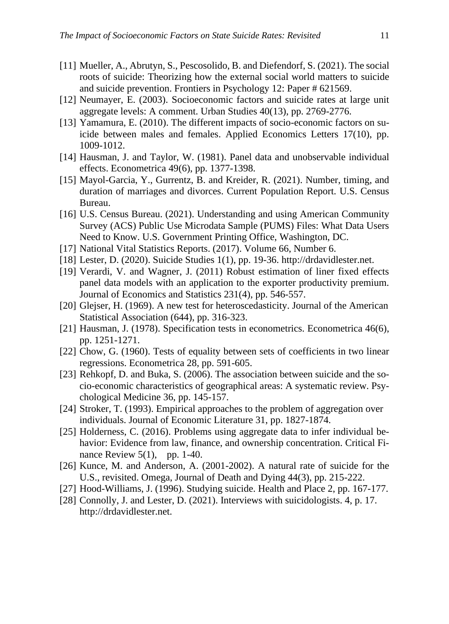- [11] Mueller, A., Abrutyn, S., Pescosolido, B. and Diefendorf, S. (2021). The social roots of suicide: Theorizing how the external social world matters to suicide and suicide prevention. Frontiers in Psychology 12: Paper # 621569.
- [12] Neumayer, E. (2003). Socioeconomic factors and suicide rates at large unit aggregate levels: A comment. Urban Studies 40(13), pp. 2769-2776.
- [13] Yamamura, E. (2010). The different impacts of socio-economic factors on suicide between males and females. Applied Economics Letters 17(10), pp. 1009-1012.
- [14] Hausman, J. and Taylor, W. (1981). Panel data and unobservable individual effects. Econometrica 49(6), pp. 1377-1398.
- [15] Mayol-Garcia, Y., Gurrentz, B. and Kreider, R. (2021). Number, timing, and duration of marriages and divorces. Current Population Report. U.S. Census Bureau.
- [16] U.S. Census Bureau. (2021). Understanding and using American Community Survey (ACS) Public Use Microdata Sample (PUMS) Files: What Data Users Need to Know. U.S. Government Printing Office, Washington, DC.
- [17] National Vital Statistics Reports. (2017). Volume 66, Number 6.
- [18] Lester, D. (2020). Suicide Studies 1(1), pp. 19-36. http://drdavidlester.net.
- [19] Verardi, V. and Wagner, J. (2011) Robust estimation of liner fixed effects panel data models with an application to the exporter productivity premium. Journal of Economics and Statistics 231(4), pp. 546-557.
- [20] Glejser, H. (1969). A new test for heteroscedasticity. Journal of the American Statistical Association (644), pp. 316-323.
- [21] Hausman, J. (1978). Specification tests in econometrics. Econometrica 46(6), pp. 1251-1271.
- [22] Chow, G. (1960). Tests of equality between sets of coefficients in two linear regressions. Econometrica 28, pp. 591-605.
- [23] Rehkopf, D. and Buka, S. (2006). The association between suicide and the socio-economic characteristics of geographical areas: A systematic review. Psychological Medicine 36, pp. 145-157.
- [24] Stroker, T. (1993). Empirical approaches to the problem of aggregation over individuals. Journal of Economic Literature 31, pp. 1827-1874.
- [25] Holderness, C. (2016). Problems using aggregate data to infer individual behavior: Evidence from law, finance, and ownership concentration. Critical Finance Review  $5(1)$ , pp. 1-40.
- [26] Kunce, M. and Anderson, A. (2001-2002). A natural rate of suicide for the U.S., revisited. Omega, Journal of Death and Dying 44(3), pp. 215-222.
- [27] Hood-Williams, J. (1996). Studying suicide. Health and Place 2, pp. 167-177.
- [28] Connolly, J. and Lester, D. (2021). Interviews with suicidologists. 4, p. 17. http://drdavidlester.net.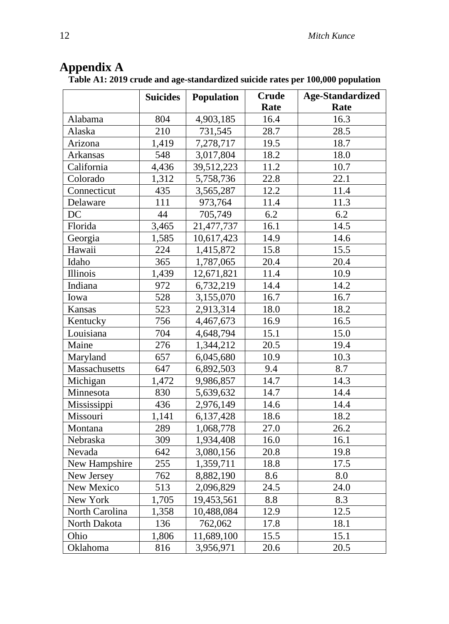| Appendix A |  |
|------------|--|
|            |  |

**Table A1: 2019 crude and age-standardized suicide rates per 100,000 population**

|                 | <b>Suicides</b> | <b>Population</b> | <b>Crude</b> | <b>Age-Standardized</b> |
|-----------------|-----------------|-------------------|--------------|-------------------------|
|                 |                 |                   | Rate         | Rate                    |
| Alabama         | 804             | 4,903,185         | 16.4         | 16.3                    |
| Alaska          | 210             | 731,545           | 28.7         | 28.5                    |
| Arizona         | 1,419           | 7,278,717         | 19.5         | 18.7                    |
| Arkansas        | 548             | 3,017,804         | 18.2         | 18.0                    |
| California      | 4,436           | 39,512,223        | 11.2         | 10.7                    |
| Colorado        | 1,312           | 5,758,736         | 22.8         | 22.1                    |
| Connecticut     | 435             | 3,565,287         | 12.2         | 11.4                    |
| Delaware        | 111             | 973,764           | 11.4         | 11.3                    |
| DC              | 44              | 705,749           | 6.2          | 6.2                     |
| Florida         | 3,465           | 21,477,737        | 16.1         | 14.5                    |
| Georgia         | 1,585           | 10,617,423        | 14.9         | 14.6                    |
| Hawaii          | 224             | 1,415,872         | 15.8         | 15.5                    |
| Idaho           | 365             | 1,787,065         | 20.4         | 20.4                    |
| <b>Illinois</b> | 1,439           | 12,671,821        | 11.4         | 10.9                    |
| Indiana         | 972             | 6,732,219         | 14.4         | 14.2                    |
| Iowa            | 528             | 3,155,070         | 16.7         | 16.7                    |
| Kansas          | 523             | 2,913,314         | 18.0         | 18.2                    |
| Kentucky        | 756             | 4,467,673         | 16.9         | 16.5                    |
| Louisiana       | 704             | 4,648,794         | 15.1         | 15.0                    |
| Maine           | 276             | 1,344,212         | 20.5         | 19.4                    |
| Maryland        | 657             | 6,045,680         | 10.9         | 10.3                    |
| Massachusetts   | 647             | 6,892,503         | 9.4          | 8.7                     |
| Michigan        | 1,472           | 9,986,857         | 14.7         | 14.3                    |
| Minnesota       | 830             | 5,639,632         | 14.7         | 14.4                    |
| Mississippi     | 436             | 2,976,149         | 14.6         | 14.4                    |
| Missouri        | 1,141           | 6,137,428         | 18.6         | 18.2                    |
| Montana         | 289             | 1,068,778         | 27.0         | 26.2                    |
| Nebraska        | 309             | 1,934,408         | 16.0         | 16.1                    |
| Nevada          | 642             | 3,080,156         | 20.8         | 19.8                    |
| New Hampshire   | 255             | 1,359,711         | 18.8         | 17.5                    |
| New Jersey      | 762             | 8,882,190         | 8.6          | 8.0                     |
| New Mexico      | 513             | 2,096,829         | 24.5         | 24.0                    |
| New York        | 1,705           | 19,453,561        | 8.8          | 8.3                     |
| North Carolina  | 1,358           | 10,488,084        | 12.9         | 12.5                    |
| North Dakota    | 136             | 762,062           | 17.8         | 18.1                    |
| Ohio            | 1,806           | 11,689,100        | 15.5         | 15.1                    |
| Oklahoma        | 816             | 3,956,971         | 20.6         | 20.5                    |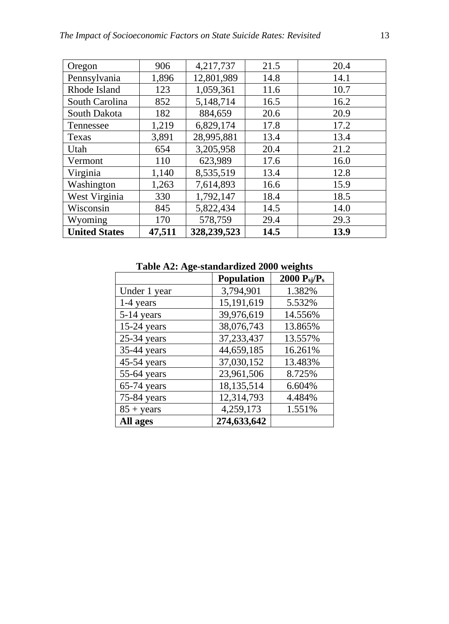| Oregon               | 906    | 4,217,737   | 21.5 | 20.4 |
|----------------------|--------|-------------|------|------|
| Pennsylvania         | 1,896  | 12,801,989  | 14.8 | 14.1 |
| Rhode Island         | 123    | 1,059,361   | 11.6 | 10.7 |
| South Carolina       | 852    | 5,148,714   | 16.5 | 16.2 |
| South Dakota         | 182    | 884,659     | 20.6 | 20.9 |
| Tennessee            | 1,219  | 6,829,174   | 17.8 | 17.2 |
| Texas                | 3,891  | 28,995,881  | 13.4 | 13.4 |
| Utah                 | 654    | 3,205,958   | 20.4 | 21.2 |
| Vermont              | 110    | 623,989     | 17.6 | 16.0 |
| Virginia             | 1,140  | 8,535,519   | 13.4 | 12.8 |
| Washington           | 1,263  | 7,614,893   | 16.6 | 15.9 |
| West Virginia        | 330    | 1,792,147   | 18.4 | 18.5 |
| Wisconsin            | 845    | 5,822,434   | 14.5 | 14.0 |
| Wyoming              | 170    | 578,759     | 29.4 | 29.3 |
| <b>United States</b> | 47,511 | 328,239,523 | 14.5 | 13.9 |

**Table A2: Age-standardized 2000 weights**

|                     | <b>Population</b> | 2000 $P_{sj}/P_s$ |
|---------------------|-------------------|-------------------|
| Under 1 year        | 3,794,901         | 1.382%            |
| $1-4$ years         | 15,191,619        | 5.532%            |
| 5-14 years          | 39,976,619        | 14.556%           |
| 15-24 years         | 38,076,743        | 13.865%           |
| $25-34$ years       | 37, 233, 437      | 13.557%           |
| 35-44 years         | 44,659,185        | 16.261%           |
| 45-54 years         | 37,030,152        | 13.483%           |
| 55-64 years         | 23,961,506        | 8.725%            |
| $65-74$ years       | 18,135,514        | 6.604%            |
| 75-84 years         | 12,314,793        | 4.484%            |
| $85 + \text{years}$ | 4,259,173         | 1.551%            |
| All ages            | 274,633,642       |                   |